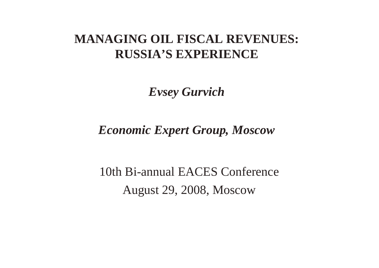#### **MANAGING OIL FISCAL REVENUES: RUSSIA'S EXPERIENCE**

*Evsey Gurvich*

*Economic Expert Group, Moscow*

10th Bi-annual EACES ConferenceAugust 29, 2008, Moscow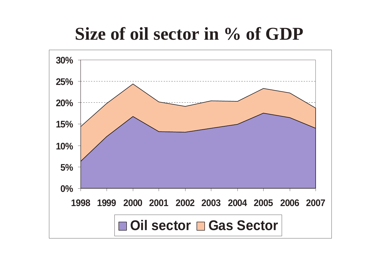### **Size of oil sector in % of GDP**

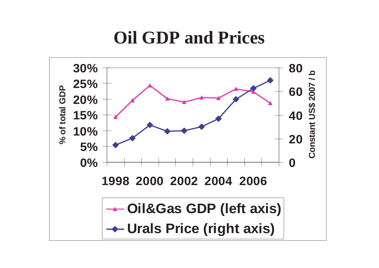#### **Oil GDP and Prices**

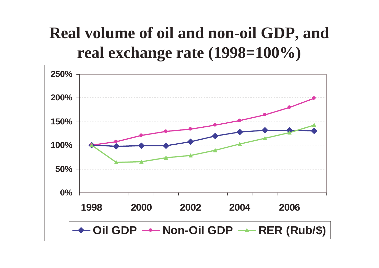#### **Real volume of oil and non-oil GDP, and real exchange rate (1998=100%)**

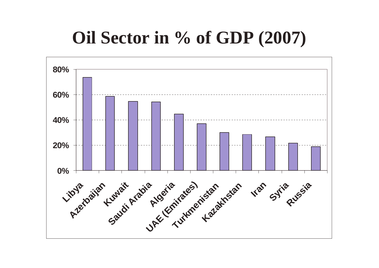### **Oil Sector in % of GDP (2007)**

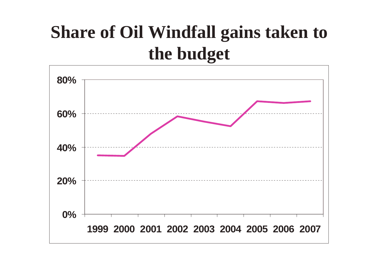### **Share of Oil Windfall gains taken to the budget**

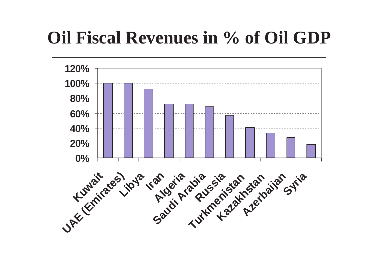### **Oil Fiscal Revenues in % of Oil GDP**

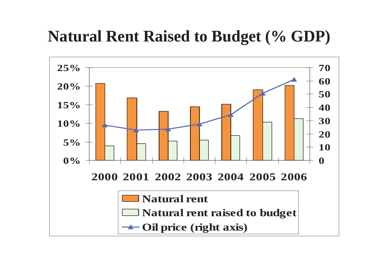#### **Natural Rent Raised to Budget (% GDP)**

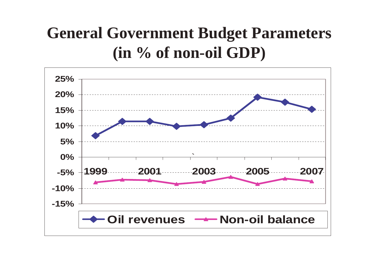#### **General Government Budget Parameters (in % of non-oil GDP)**

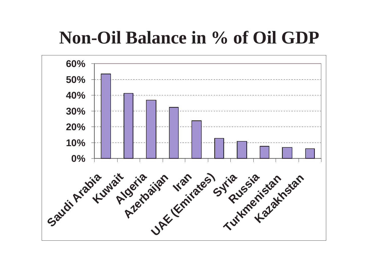### **Non-Oil Balance in % of Oil GDP**

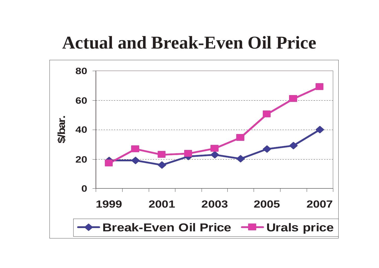#### **Actual and Break-Even Oil Price**

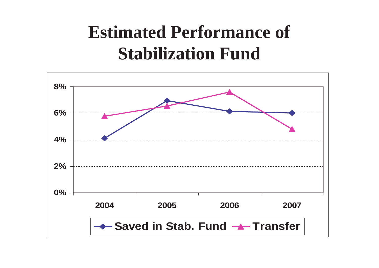### **Estimated Performance of Stabilization Fund**

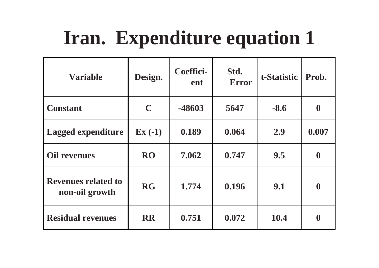# **Iran. Expenditure equation 1**

| <b>Variable</b>                              | Design.     | <b>Coeffici-</b><br>ent | Std.<br><b>Error</b> | t-Statistic | Prob.            |
|----------------------------------------------|-------------|-------------------------|----------------------|-------------|------------------|
| <b>Constant</b>                              | $\mathbf C$ | -48603                  | 5647                 | $-8.6$      | $\boldsymbol{0}$ |
| <b>Lagged expenditure</b>                    | $Ex(-1)$    | 0.189                   | 0.064                | 2.9         | 0.007            |
| <b>Oil revenues</b>                          | <b>RO</b>   | 7.062                   | 0.747                | 9.5         | $\boldsymbol{0}$ |
| <b>Revenues related to</b><br>non-oil growth | <b>RG</b>   | 1.774                   | 0.196                | 9.1         | $\boldsymbol{0}$ |
| <b>Residual revenues</b>                     | <b>RR</b>   | 0.751                   | 0.072                | 10.4        | $\boldsymbol{0}$ |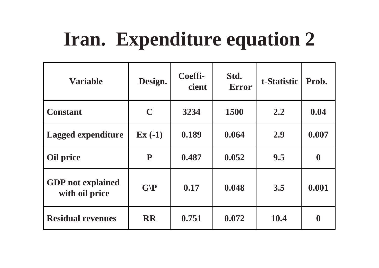# **Iran. Expenditure equation 2**

| <b>Variable</b>                            | Design.           | Coeffi-<br>cient | Std.<br><b>Error</b> | t-Statistic | Prob.            |
|--------------------------------------------|-------------------|------------------|----------------------|-------------|------------------|
| <b>Constant</b>                            | $\mathbf C$       | 3234             | <b>1500</b>          | 2.2         | 0.04             |
| <b>Lagged expenditure</b>                  | $\mathbf{Ex}(-1)$ | 0.189            | 0.064                | 2.9         | 0.007            |
| <b>Oil price</b>                           | ${\bf P}$         | 0.487            | 0.052                | 9.5         | $\boldsymbol{0}$ |
| <b>GDP</b> not explained<br>with oil price | G/P               | 0.17             | 0.048                | 3.5         | 0.001            |
| <b>Residual revenues</b>                   | <b>RR</b>         | 0.751            | 0.072                | 10.4        | $\boldsymbol{0}$ |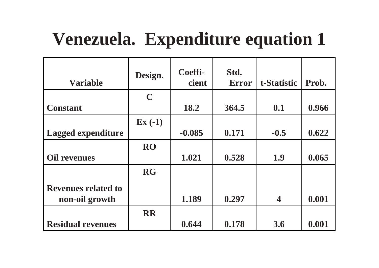### **Venezuela. Expenditure equation 1**

| <b>Variable</b>            | Design.           | Coeffi-<br>cient | Std.<br><b>Error</b> | t-Statistic | Prob. |
|----------------------------|-------------------|------------------|----------------------|-------------|-------|
|                            | $\mathbf C$       |                  |                      |             |       |
| <b>Constant</b>            |                   | 18.2             | 364.5                | 0.1         | 0.966 |
|                            | $\mathbf{Ex}(-1)$ |                  |                      |             |       |
| <b>Lagged expenditure</b>  |                   | $-0.085$         | 0.171                | $-0.5$      | 0.622 |
|                            | <b>RO</b>         |                  |                      |             |       |
| <b>Oil revenues</b>        |                   | 1.021            | 0.528                | 1.9         | 0.065 |
|                            | <b>RG</b>         |                  |                      |             |       |
| <b>Revenues related to</b> |                   |                  |                      |             |       |
| non-oil growth             |                   | 1.189            | 0.297                | 4           | 0.001 |
|                            | <b>RR</b>         |                  |                      |             |       |
| <b>Residual revenues</b>   |                   | 0.644            | 0.178                | 3.6         | 0.001 |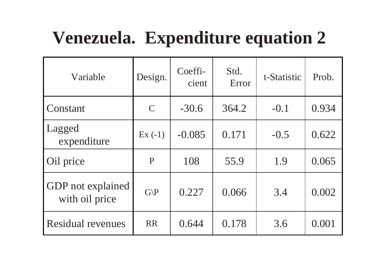## **Venezuela. Expenditure equation 2**

| Variable                                   | Design.         | Coeffi-<br>cient | Std.<br>Error | t-Statistic | Prob. |
|--------------------------------------------|-----------------|------------------|---------------|-------------|-------|
| Constant                                   | $\mathcal{C}$   | $-30.6$          | 364.2         | $-0.1$      | 0.934 |
| Lagged<br>expenditure                      | $Ex(-1)$        | $-0.085$         | 0.171         | $-0.5$      | 0.622 |
| Oil price                                  | P               | 108              | 55.9          | 1.9         | 0.065 |
| <b>GDP</b> not explained<br>with oil price | $G\backslash P$ | 0.227            | 0.066         | 3.4         | 0.002 |
| <b>Residual revenues</b>                   | <b>RR</b>       | 0.644            | 0.178         | 3.6         | 0.001 |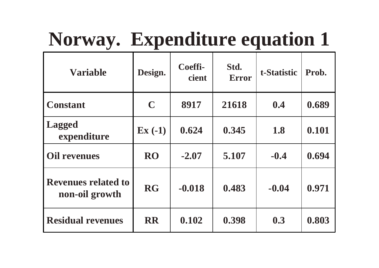# **Norway. Expenditure equation 1**

| <b>Variable</b>                              | Design.           | Coeffi-<br><b>cient</b> | Std.<br><b>Error</b> | t-Statistic | Prob. |
|----------------------------------------------|-------------------|-------------------------|----------------------|-------------|-------|
| <b>Constant</b>                              | $\mathbf C$       | 8917                    | 21618                | 0.4         | 0.689 |
| <b>Lagged</b><br>expenditure                 | $\mathbf{Ex}(-1)$ | 0.624                   | 0.345                | 1.8         | 0.101 |
| <b>Oil revenues</b>                          | <b>RO</b>         | $-2.07$                 | 5.107                | $-0.4$      | 0.694 |
| <b>Revenues related to</b><br>non-oil growth | <b>RG</b>         | $-0.018$                | 0.483                | $-0.04$     | 0.971 |
| <b>Residual revenues</b>                     | <b>RR</b>         | 0.102                   | 0.398                | 0.3         | 0.803 |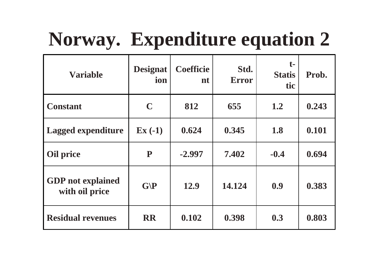# **Norway. Expenditure equation 2**

| <b>Variable</b>                            | <b>Designat</b><br>ion | <b>Coefficie</b><br>nt | Std.<br><b>Error</b> | $t-$<br><b>Statis</b><br>tic | Prob. |
|--------------------------------------------|------------------------|------------------------|----------------------|------------------------------|-------|
| <b>Constant</b>                            | $\mathbf C$            | 812                    | 655                  | 1.2                          | 0.243 |
| <b>Lagged expenditure</b>                  | $\mathbf{Ex}(-1)$      | 0.624                  | 0.345                | 1.8                          | 0.101 |
| <b>Oil price</b>                           | ${\bf P}$              | $-2.997$               | 7.402                | $-0.4$                       | 0.694 |
| <b>GDP</b> not explained<br>with oil price | G/P                    | 12.9                   | 14.124               | 0.9                          | 0.383 |
| <b>Residual revenues</b>                   | <b>RR</b>              | 0.102                  | 0.398                | 0.3                          | 0.803 |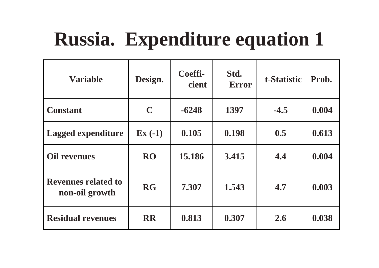# **Russia. Expenditure equation 1**

| <b>Variable</b>                              | Design.           | Coeffi-<br><b>cient</b> | Std.<br><b>Error</b> | t-Statistic | Prob. |
|----------------------------------------------|-------------------|-------------------------|----------------------|-------------|-------|
| <b>Constant</b>                              | $\mathbf C$       | $-6248$                 | 1397                 | $-4.5$      | 0.004 |
| <b>Lagged expenditure</b>                    | $\mathbf{Ex}(-1)$ | 0.105                   | 0.198                | 0.5         | 0.613 |
| <b>Oil revenues</b>                          | <b>RO</b>         | 15.186                  | 3.415                | 4.4         | 0.004 |
| <b>Revenues related to</b><br>non-oil growth | <b>RG</b>         | 7.307                   | 1.543                | 4.7         | 0.003 |
| <b>Residual revenues</b>                     | <b>RR</b>         | 0.813                   | 0.307                | 2.6         | 0.038 |